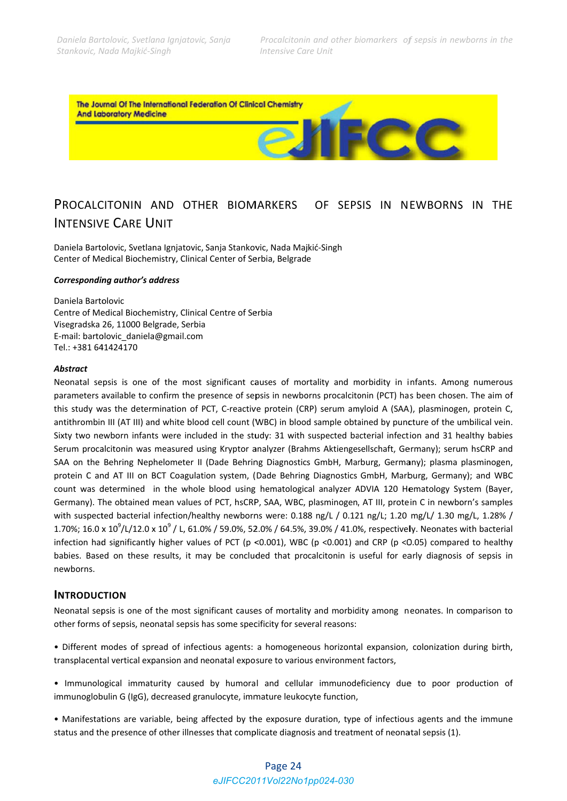$200$ 

The Journal Of The International Federation Of Clinical Chemistry **And Laboratory Medicine** 

### PROCALCITONIN AND OTHER BIOMARKERS INTENSIVE CARE UNIT OF SEPSIS IN NEWBORNS IN THE

Daniela Bartolovic, Svetlana Ignjatovic, Sanja Stankovic, Nada Majkić-Singh Center of Medical Biochemistry, Clinical Center of Serbia, Belgrade

### *Correspondin ng author's a address*

Daniela Bartolovic Centre of Medical Biochemistry, Clinical Centre of Serbia Visegradska 26, 11000 Belgrade, Serbia E-mail: bartolovic\_daniela@gmail.com Tel.: +381 64 41424170

#### *Abstract*

Neonatal sepsis is one of the most significant causes of mortality and morbidity in infants. Among numerous parameters available to confirm the presence of sepsis in newborns procalcitonin (PCT) has been chosen. The aim of this study was the determination of PCT, C-reactive protein (CRP) serum amyloid A (SAA), plasminogen, protein C, antithrombin III (AT III) and white blood cell count (WBC) in blood sample obtained by puncture of the umbilical vein. Sixty two newborn infants were included in the study: 31 with suspected bacterial infection and 31 healthy babies Serum procalcitonin was measured using Kryptor analyzer (Brahms Aktiengesellschaft, Germany); serum hsCRP and SAA on the Behring Nephelometer II (Dade Behring Diagnostics GmbH, Marburg, Germany); plasma plasminogen, protein C and AT III on BCT Coagulation system, (Dade Behring Diagnostics GmbH, Marburg, Germany); and WBC count was determined in the whole blood using hematological analyzer ADVIA 120 Hematology System (Bayer, Germany). The obtained mean values of PCT, hsCRP, SAA, WBC, plasminogen, AT III, protein C in newborn's samples with suspected bacterial infection/healthy newborns were: 0.188 ng/L / 0.121 ng/L; 1.20 mg/L/ 1.30 mg/L, 1.28% / 1.70%; 16.0 x 10<sup>9</sup>/L/12.0 x 10<sup>9</sup> / L, 61.0% / 59.0%, 52.0% / 64.5%, 39.0% / 41.0%, respectively. Neonates with bacterial infection had significantly higher values of PCT (p <0.001), WBC (p <0.001) and CRP (p <0.05) compared to healthy babies. Based on these results, it may be concluded that procalcitonin is useful for early diagnosis of sepsis in newborns. Esf,.sd,C,slyno,fe

# **INTRODUCTION**

Neonatal sepsis is one of the most significant causes of mortality and morbidity among neonates. In comparison to other forms of sepsis, neonatal sepsis has some specificity for several reasons:

• Different modes of spread of infectious agents: a homogeneous horizontal expansion, colonization during birth, transplacental vertical expansion and neonatal exposure to various environment factors,

• Immunological immaturity caused by humoral and cellular immunodeficiency due to poor production of immunoglobulin G (IgG), decreased granulocyte, immature leukocyte function,

• Manifestations are variable, being affected by the exposure duration, type of infectious agents and the immune status and the presence of other illnesses that complicate diagnosis and treatment of neonatal sepsis (1).

## Page 24 *eJIFCC2011Vol22No1pp024-030*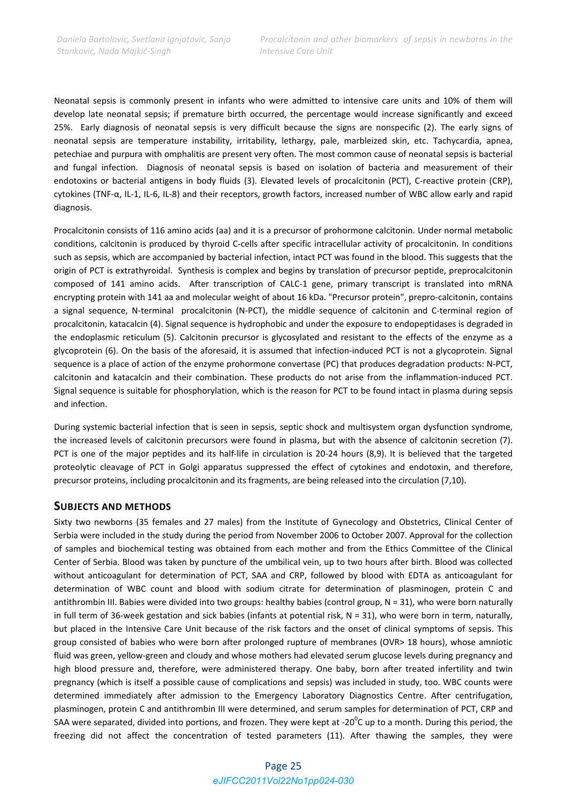Neonatal sepsis is commonly present in infants who were admitted to intensive care units and 10% of them will develop late neonatal sepsis; if premature birth occurred, the percentage would increase significantly and exceed 25%. Early diagnosis of neonatal sepsis is very difficult because the signs are nonspecific (2). The early signs of neonatal sepsis are temperature instability, irritability, lethargy, pale, marbleized skin, etc. Tachycardia, apnea, petechiae and purpura with omphalitis are present very often. The most common cause of neonatal sepsis is bacterial and fungal infection. Diagnosis of neonatal sepsis is based on isolation of bacteria and measurement of their endotoxins or bacterial antigens in body fluids (3). Elevated levels of procalcitonin (PCT), C-reactive protein (CRP), cytokines (TNF‐α, IL‐1, IL‐6, IL‐8) and their receptors, growth factors, increased number of WBC allow early and rapid diagnosis.

Procalcitonin consists of 116 amino acids (aa) and it is a precursor of prohormone calcitonin. Under normal metabolic conditions, calcitonin is produced by thyroid C‐cells after specific intracellular activity of procalcitonin. In conditions such as sepsis, which are accompanied by bacterial infection, intact PCT was found in the blood. This suggests that the origin of PCT is extrathyroidal. Synthesis is complex and begins by translation of precursor peptide, preprocalcitonin composed of 141 amino acids. After transcription of CALC-1 gene, primary transcript is translated into mRNA encrypting protein with 141 aa and molecular weight of about 16 kDa. "Precursor protein", prepro-calcitonin, contains a signal sequence, N-terminal procalcitonin (N-PCT), the middle sequence of calcitonin and C-terminal region of procalcitonin, katacalcin (4). Signal sequence is hydrophobic and under the exposure to endopeptidases is degraded in the endoplasmic reticulum (5). Calcitonin precursor is glycosylated and resistant to the effects of the enzyme as a glycoprotein (6). On the basis of the aforesaid, it is assumed that infection-induced PCT is not a glycoprotein. Signal sequence is a place of action of the enzyme prohormone convertase (PC) that produces degradation products: N‐PCT, calcitonin and katacalcin and their combination. These products do not arise from the inflammation‐induced PCT. Signal sequence is suitable for phosphorylation, which is the reason for PCT to be found intact in plasma during sepsis and infection.

During systemic bacterial infection that is seen in sepsis, septic shock and multisystem organ dysfunction syndrome, the increased levels of calcitonin precursors were found in plasma, but with the absence of calcitonin secretion (7). PCT is one of the major peptides and its half‐life in circulation is 20‐24 hours (8,9). It is believed that the targeted proteolytic cleavage of PCT in Golgi apparatus suppressed the effect of cytokines and endotoxin, and therefore, precursor proteins, including procalcitonin and its fragments, are being released into the circulation (7,10).

### **SUBJECTS AND METHODS**

Sixty two newborns (35 females and 27 males) from the Institute of Gynecology and Obstetrics, Clinical Center of Serbia were included in the study during the period from November 2006 to October 2007. Approval for the collection of samples and biochemical testing was obtained from each mother and from the Ethics Committee of the Clinical Center of Serbia. Blood was taken by puncture of the umbilical vein, up to two hours after birth. Blood was collected without anticoagulant for determination of PCT, SAA and CRP, followed by blood with EDTA as anticoagulant for determination of WBC count and blood with sodium citrate for determination of plasminogen, protein C and antithrombin III. Babies were divided into two groups: healthy babies (control group,  $N = 31$ ), who were born naturally in full term of 36-week gestation and sick babies (infants at potential risk,  $N = 31$ ), who were born in term, naturally, but placed in the Intensive Care Unit because of the risk factors and the onset of clinical symptoms of sepsis. This group consisted of babies who were born after prolonged rupture of membranes (OVR> 18 hours), whose amniotic fluid was green, yellow‐green and cloudy and whose mothers had elevated serum glucose levels during pregnancy and high blood pressure and, therefore, were administered therapy. One baby, born after treated infertility and twin pregnancy (which is itself a possible cause of complications and sepsis) was included in study, too. WBC counts were determined immediately after admission to the Emergency Laboratory Diagnostics Centre. After centrifugation, plasminogen, protein C and antithrombin III were determined, and serum samples for determination of PCT, CRP and SAA were separated, divided into portions, and frozen. They were kept at -20<sup>0</sup>C up to a month. During this period, the freezing did not affect the concentration of tested parameters (11). After thawing the samples, they were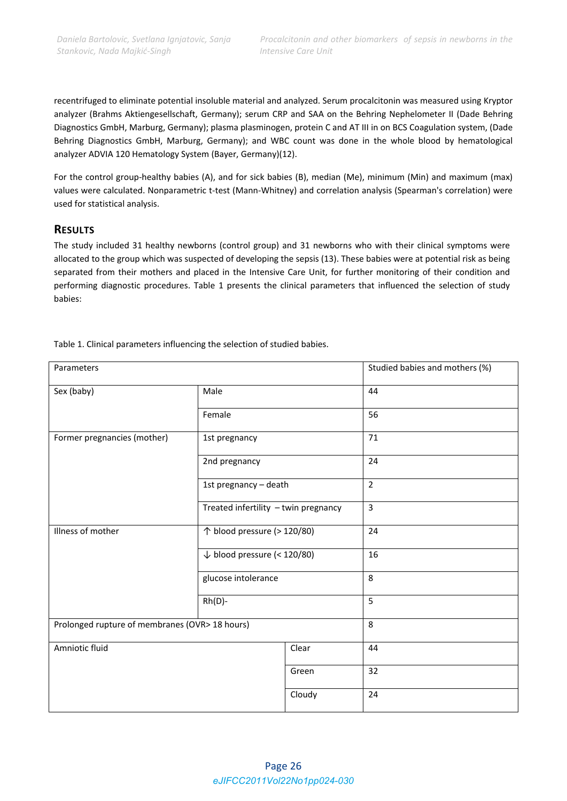recentrifuged to eliminate potential insoluble material and analyzed. Serum procalcitonin was measured using Kryptor analyzer (Brahms Aktiengesellschaft, Germany); serum CRP and SAA on the Behring Nephelometer II (Dade Behring Diagnostics GmbH, Marburg, Germany); plasma plasminogen, protein C and AT III in on BCS Coagulation system, (Dade Behring Diagnostics GmbH, Marburg, Germany); and WBC count was done in the whole blood by hematological analyzer ADVIA 120 Hematology System (Bayer, Germany)(12).

For the control group‐healthy babies (A), and for sick babies (B), median (Me), minimum (Min) and maximum (max) values were calculated. Nonparametric t-test (Mann-Whitney) and correlation analysis (Spearman's correlation) were used for statistical analysis.

## **RESULTS**

The study included 31 healthy newborns (control group) and 31 newborns who with their clinical symptoms were allocated to the group which was suspected of developing the sepsis (13). These babies were at potential risk as being separated from their mothers and placed in the Intensive Care Unit, for further monitoring of their condition and performing diagnostic procedures. Table 1 presents the clinical parameters that influenced the selection of study babies:

| Parameters                                     |                                        |        | Studied babies and mothers (%) |  |  |  |
|------------------------------------------------|----------------------------------------|--------|--------------------------------|--|--|--|
| Sex (baby)                                     | Male                                   |        | 44                             |  |  |  |
|                                                | Female                                 |        | 56                             |  |  |  |
| Former pregnancies (mother)                    | 1st pregnancy                          |        | 71                             |  |  |  |
|                                                | 2nd pregnancy                          |        | 24                             |  |  |  |
|                                                | 1st pregnancy - death                  |        | $\overline{2}$                 |  |  |  |
| Treated infertility - twin pregnancy           |                                        |        | 3                              |  |  |  |
| Illness of mother                              | ↑ blood pressure (> 120/80)            |        | 24                             |  |  |  |
|                                                | $\downarrow$ blood pressure (< 120/80) |        | 16                             |  |  |  |
|                                                | glucose intolerance                    |        | 8                              |  |  |  |
|                                                | $Rh(D)$ -                              |        | 5                              |  |  |  |
| Prolonged rupture of membranes (OVR> 18 hours) |                                        |        | 8                              |  |  |  |
| Amniotic fluid                                 |                                        | Clear  | 44                             |  |  |  |
|                                                |                                        | Green  | 32                             |  |  |  |
|                                                |                                        | Cloudy | 24                             |  |  |  |

Table 1. Clinical parameters influencing the selection of studied babies.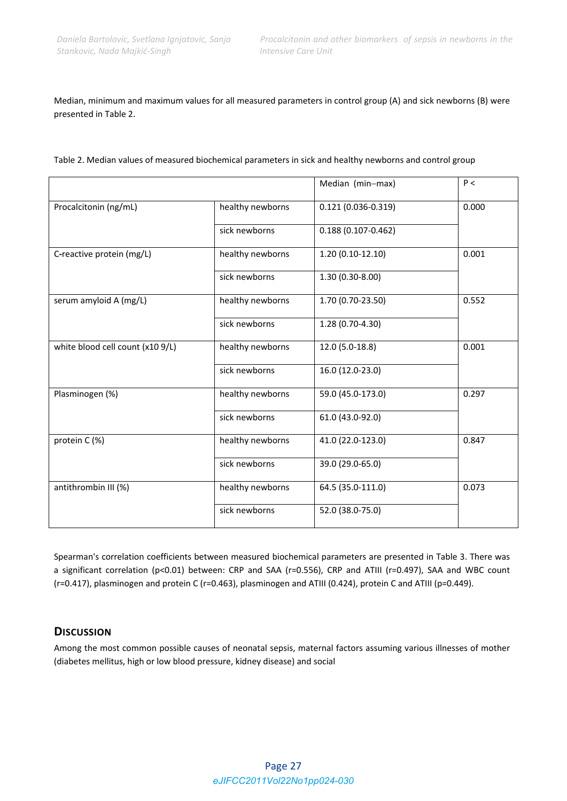Median, minimum and maximum values for all measured parameters in control group (A) and sick newborns (B) were presented in Table 2.

|                                  |                  | Median (min-max)       | P<    |
|----------------------------------|------------------|------------------------|-------|
| Procalcitonin (ng/mL)            | healthy newborns | $0.121(0.036 - 0.319)$ | 0.000 |
|                                  | sick newborns    | $0.188(0.107 - 0.462)$ |       |
| C-reactive protein (mg/L)        | healthy newborns | $1.20(0.10-12.10)$     | 0.001 |
|                                  | sick newborns    | 1.30 (0.30-8.00)       |       |
| serum amyloid A (mg/L)           | healthy newborns | 1.70 (0.70-23.50)      | 0.552 |
|                                  | sick newborns    | 1.28 (0.70-4.30)       |       |
| white blood cell count (x10 9/L) | healthy newborns | 12.0 (5.0-18.8)        | 0.001 |
|                                  | sick newborns    | 16.0 (12.0-23.0)       |       |
| Plasminogen (%)                  | healthy newborns | 59.0 (45.0-173.0)      | 0.297 |
|                                  | sick newborns    | 61.0 (43.0-92.0)       |       |
| protein C (%)                    | healthy newborns | 41.0 (22.0-123.0)      | 0.847 |
|                                  | sick newborns    | 39.0 (29.0-65.0)       |       |
| antithrombin III (%)             | healthy newborns | 64.5 (35.0-111.0)      | 0.073 |
|                                  | sick newborns    | 52.0 (38.0-75.0)       |       |

Table 2. Median values of measured biochemical parameters in sick and healthy newborns and control group

Spearman's correlation coefficients between measured biochemical parameters are presented in Table 3. There was a significant correlation (p<0.01) between: CRP and SAA (r=0.556), CRP and ATIII (r=0.497), SAA and WBC count (r=0.417), plasminogen and protein C (r=0.463), plasminogen and ATIII (0.424), protein C and ATIII (p=0.449).

### **DISCUSSION**

Among the most common possible causes of neonatal sepsis, maternal factors assuming various illnesses of mother (diabetes mellitus, high or low blood pressure, kidney disease) and social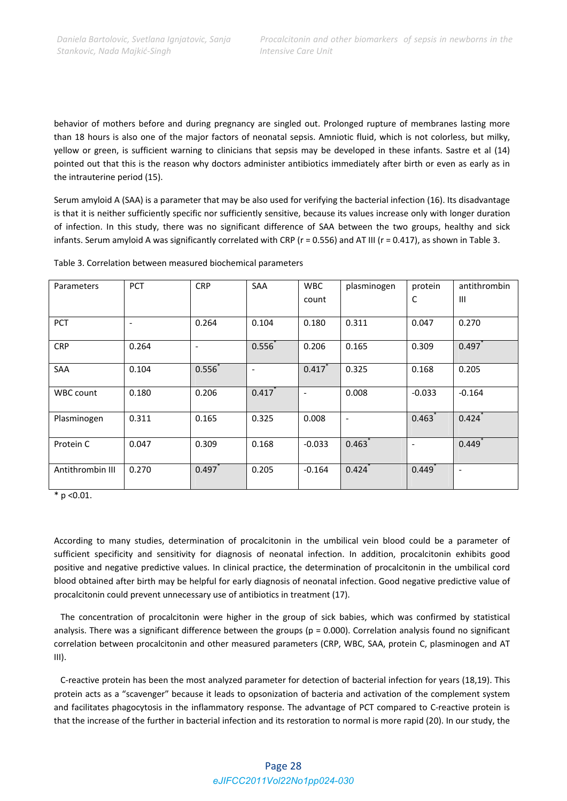behavior of mothers before and during pregnancy are singled out. Prolonged rupture of membranes lasting more than 18 hours is also one of the major factors of neonatal sepsis. Amniotic fluid, which is not colorless, but milky, yellow or green, is sufficient warning to clinicians that sepsis may be developed in these infants. Sastre et al (14) pointed out that this is the reason why doctors administer antibiotics immediately after birth or even as early as in the intrauterine period (15).

Serum amyloid A (SAA) is a parameter that may be also used for verifying the bacterial infection (16). Its disadvantage is that it is neither sufficiently specific nor sufficiently sensitive, because its values increase only with longer duration of infection. In this study, there was no significant difference of SAA between the two groups, healthy and sick infants. Serum amyloid A was significantly correlated with CRP ( $r = 0.556$ ) and AT III ( $r = 0.417$ ), as shown in Table 3.

| Parameters       | <b>PCT</b> | <b>CRP</b>               | <b>SAA</b>               | <b>WBC</b>               | plasminogen              | protein  | antithrombin             |
|------------------|------------|--------------------------|--------------------------|--------------------------|--------------------------|----------|--------------------------|
|                  |            |                          |                          | count                    |                          | C        | $\mathbf{III}$           |
|                  |            |                          |                          |                          |                          |          |                          |
| <b>PCT</b>       | ٠          | 0.264                    | 0.104                    | 0.180                    | 0.311                    | 0.047    | 0.270                    |
| <b>CRP</b>       | 0.264      | $\overline{\phantom{a}}$ | 0.556                    | 0.206                    | 0.165                    | 0.309    | 0.497                    |
|                  |            |                          |                          |                          |                          |          |                          |
| <b>SAA</b>       | 0.104      | $0.556^{*}$              | $\overline{\phantom{0}}$ | 0.417                    | 0.325                    | 0.168    | 0.205                    |
|                  |            |                          |                          |                          |                          |          |                          |
| <b>WBC count</b> | 0.180      | 0.206                    | 0.417                    | $\overline{\phantom{a}}$ | 0.008                    | $-0.033$ | $-0.164$                 |
|                  |            |                          |                          |                          |                          |          |                          |
| Plasminogen      | 0.311      | 0.165                    | 0.325                    | 0.008                    | $\overline{\phantom{a}}$ | 0.463    | 0.424                    |
|                  |            |                          |                          |                          |                          |          |                          |
| Protein C        | 0.047      | 0.309                    | 0.168                    | $-0.033$                 | 0.463                    |          | 0.449                    |
|                  |            |                          |                          |                          |                          |          |                          |
| Antithrombin III | 0.270      | 0.497                    | 0.205                    | $-0.164$                 | 0.424                    | 0.449    | $\overline{\phantom{a}}$ |
|                  |            |                          |                          |                          |                          |          |                          |

Table 3. Correlation between measured biochemical parameters

 $*$  p < 0.01.

According to many studies, determination of procalcitonin in the umbilical vein blood could be a parameter of sufficient specificity and sensitivity for diagnosis of neonatal infection. In addition, procalcitonin exhibits good positive and negative predictive values. In clinical practice, the determination of procalcitonin in the umbilical cord blood obtained after birth may be helpful for early diagnosis of neonatal infection. Good negative predictive value of procalcitonin could prevent unnecessary use of antibiotics in treatment (17).

 The concentration of procalcitonin were higher in the group of sick babies, which was confirmed by statistical analysis. There was a significant difference between the groups ( $p = 0.000$ ). Correlation analysis found no significant correlation between procalcitonin and other measured parameters (CRP, WBC, SAA, protein C, plasminogen and AT III).

 C‐reactive protein has been the most analyzed parameter for detection of bacterial infection for years (18,19). This protein acts as a "scavenger" because it leads to opsonization of bacteria and activation of the complement system and facilitates phagocytosis in the inflammatory response. The advantage of PCT compared to C‐reactive protein is that the increase of the further in bacterial infection and its restoration to normal is more rapid (20). In our study, the

## Page 28 *eJIFCC2011Vol22No1pp024-030*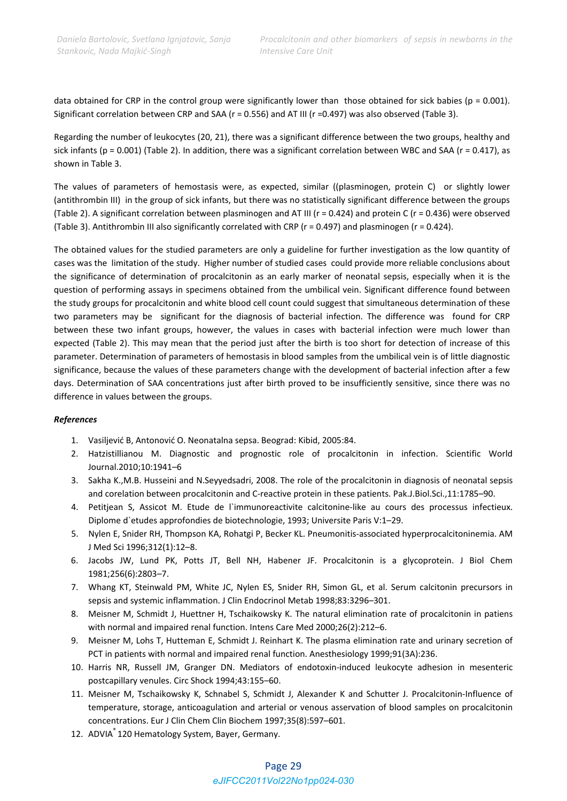data obtained for CRP in the control group were significantly lower than those obtained for sick babies ( $p = 0.001$ ). Significant correlation between CRP and SAA (r = 0.556) and AT III (r =0.497) was also observed (Table 3).

Regarding the number of leukocytes (20, 21), there was a significant difference between the two groups, healthy and sick infants (p = 0.001) (Table 2). In addition, there was a significant correlation between WBC and SAA (r = 0.417), as shown in Table 3.

The values of parameters of hemostasis were, as expected, similar ((plasminogen, protein C) or slightly lower (antithrombin III) in the group of sick infants, but there was no statistically significant difference between the groups (Table 2). A significant correlation between plasminogen and AT III ( $r = 0.424$ ) and protein C ( $r = 0.436$ ) were observed (Table 3). Antithrombin III also significantly correlated with CRP (r = 0.497) and plasminogen (r = 0.424).

The obtained values for the studied parameters are only a guideline for further investigation as the low quantity of cases was the limitation of the study. Higher number of studied cases could provide more reliable conclusions about the significance of determination of procalcitonin as an early marker of neonatal sepsis, especially when it is the question of performing assays in specimens obtained from the umbilical vein. Significant difference found between the study groups for procalcitonin and white blood cell count could suggest that simultaneous determination of these two parameters may be significant for the diagnosis of bacterial infection. The difference was found for CRP between these two infant groups, however, the values in cases with bacterial infection were much lower than expected (Table 2). This may mean that the period just after the birth is too short for detection of increase of this parameter. Determination of parameters of hemostasis in blood samples from the umbilical vein is of little diagnostic significance, because the values of these parameters change with the development of bacterial infection after a few days. Determination of SAA concentrations just after birth proved to be insufficiently sensitive, since there was no difference in values between the groups.

#### *References*

- 1. Vasiljević B, Antonović O. Neonatalna sepsa. Beograd: Kibid, 2005:84.
- 2. Hatzistillianou M. Diagnostic and prognostic role of procalcitonin in infection. Scientific World Journal.2010;10:1941–6
- 3. Sakha K.,M.B. Husseini and N.Seyyedsadri, 2008. The role of the procalcitonin in diagnosis of neonatal sepsis and corelation between procalcitonin and C-reactive protein in these patients. Pak.J.Biol.Sci.,11:1785-90.
- 4. Petitiean S, Assicot M. Etude de l'immunoreactivite calcitonine-like au cours des processus infectieux. Diplome d`etudes approfondies de biotechnologie, 1993; Universite Paris V:1–29.
- 5. Nylen E, Snider RH, Thompson KA, Rohatgi P, Becker KL. Pneumonitis‐associated hyperprocalcitoninemia. AM J Med Sci 1996;312(1):12–8.
- 6. Jacobs JW, Lund PK, Potts JT, Bell NH, Habener JF. Procalcitonin is a glycoprotein. J Biol Chem 1981;256(6):2803–7.
- 7. Whang KT, Steinwald PM, White JC, Nylen ES, Snider RH, Simon GL, et al. Serum calcitonin precursors in sepsis and systemic inflammation. J Clin Endocrinol Metab 1998;83:3296–301.
- 8. Meisner M, Schmidt J, Huettner H, Tschaikowsky K. The natural elimination rate of procalcitonin in patiens with normal and impaired renal function. Intens Care Med 2000;26(2):212–6.
- 9. Meisner M, Lohs T, Hutteman E, Schmidt J. Reinhart K. The plasma elimination rate and urinary secretion of PCT in patients with normal and impaired renal function. Anesthesiology 1999;91(3A):236.
- 10. Harris NR, Russell JM, Granger DN. Mediators of endotoxin‐induced leukocyte adhesion in mesenteric postcapillary venules. Circ Shock 1994;43:155–60.
- 11. Meisner M, Tschaikowsky K, Schnabel S, Schmidt J, Alexander K and Schutter J. Procalcitonin-Influence of temperature, storage, anticoagulation and arterial or venous asservation of blood samples on procalcitonin concentrations. Eur J Clin Chem Clin Biochem 1997;35(8):597–601.
- 12. ADVIA<sup>®</sup> 120 Hematology System, Bayer, Germany.

### Page 29 *eJIFCC2011Vol22No1pp024-030*